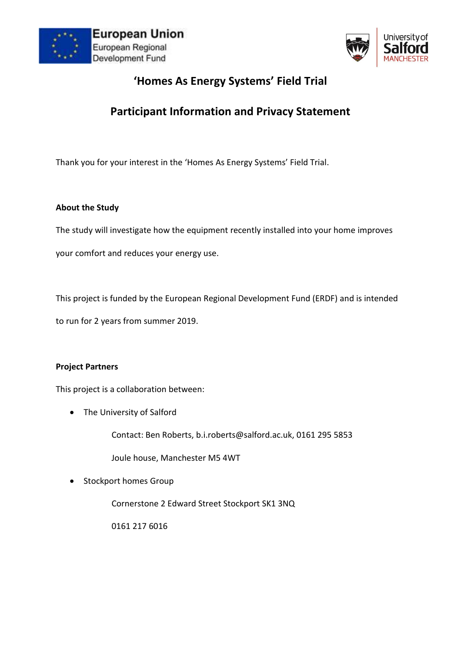



# **'Homes As Energy Systems' Field Trial**

# **Participant Information and Privacy Statement**

Thank you for your interest in the 'Homes As Energy Systems' Field Trial.

#### **About the Study**

The study will investigate how the equipment recently installed into your home improves

your comfort and reduces your energy use.

This project is funded by the European Regional Development Fund (ERDF) and is intended

to run for 2 years from summer 2019.

#### **Project Partners**

This project is a collaboration between:

• The University of Salford

Contact: Ben Roberts, b.i.roberts@salford.ac.uk, 0161 295 5853

Joule house, Manchester M5 4WT

• Stockport homes Group

Cornerstone 2 Edward Street Stockport SK1 3NQ

0161 217 6016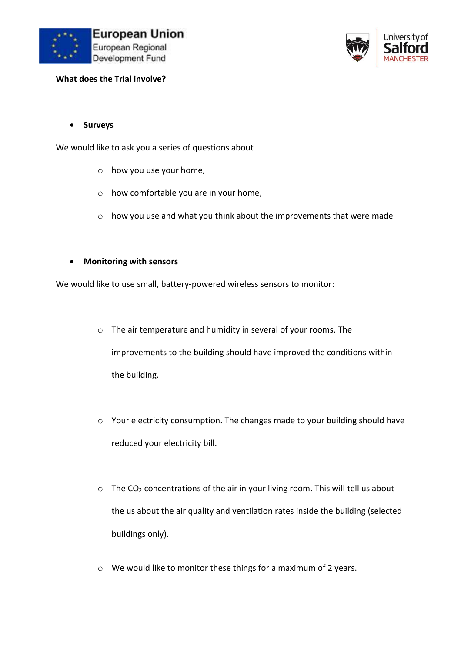



**What does the Trial involve?** 

**Surveys**

We would like to ask you a series of questions about

- o how you use your home,
- o how comfortable you are in your home,
- o how you use and what you think about the improvements that were made
- **Monitoring with sensors**

We would like to use small, battery-powered wireless sensors to monitor:

- o The air temperature and humidity in several of your rooms. The improvements to the building should have improved the conditions within the building.
- o Your electricity consumption. The changes made to your building should have reduced your electricity bill.
- $\circ$  The CO<sub>2</sub> concentrations of the air in your living room. This will tell us about the us about the air quality and ventilation rates inside the building (selected buildings only).
- o We would like to monitor these things for a maximum of 2 years.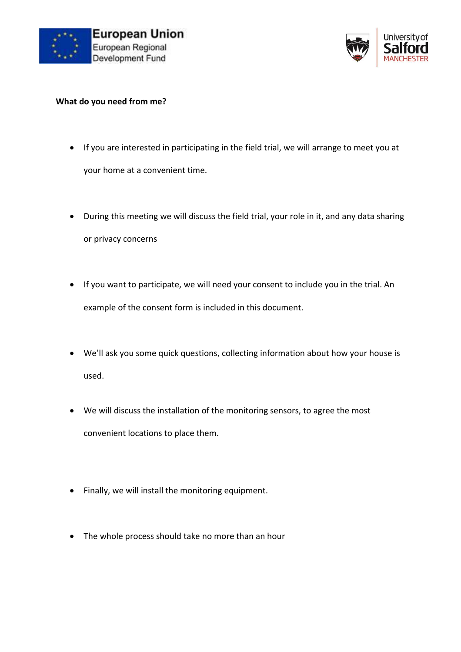



#### **What do you need from me?**

- If you are interested in participating in the field trial, we will arrange to meet you at your home at a convenient time.
- During this meeting we will discuss the field trial, your role in it, and any data sharing or privacy concerns
- If you want to participate, we will need your consent to include you in the trial. An example of the consent form is included in this document.
- We'll ask you some quick questions, collecting information about how your house is used.
- We will discuss the installation of the monitoring sensors, to agree the most convenient locations to place them.
- Finally, we will install the monitoring equipment.
- The whole process should take no more than an hour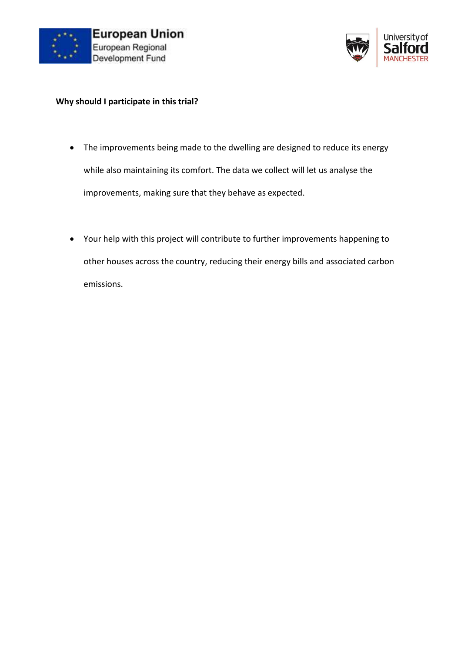



#### **Why should I participate in this trial?**

- The improvements being made to the dwelling are designed to reduce its energy while also maintaining its comfort. The data we collect will let us analyse the improvements, making sure that they behave as expected.
- Your help with this project will contribute to further improvements happening to other houses across the country, reducing their energy bills and associated carbon emissions.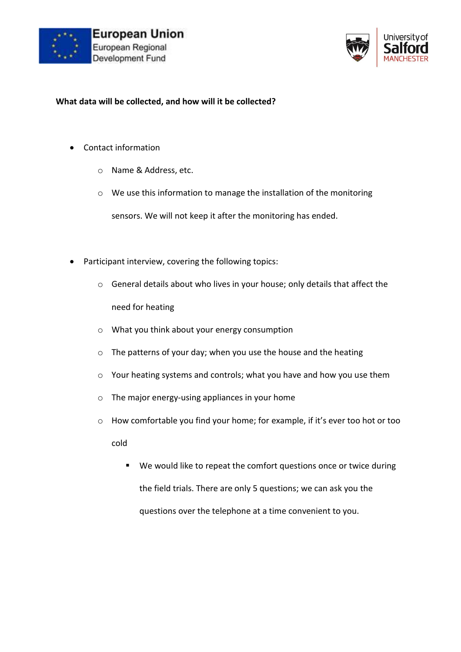



#### **What data will be collected, and how will it be collected?**

- Contact information
	- o Name & Address, etc.
	- o We use this information to manage the installation of the monitoring

sensors. We will not keep it after the monitoring has ended.

- Participant interview, covering the following topics:
	- o General details about who lives in your house; only details that affect the need for heating
	- o What you think about your energy consumption
	- o The patterns of your day; when you use the house and the heating
	- o Your heating systems and controls; what you have and how you use them
	- o The major energy-using appliances in your home
	- o How comfortable you find your home; for example, if it's ever too hot or too cold
		- We would like to repeat the comfort questions once or twice during the field trials. There are only 5 questions; we can ask you the questions over the telephone at a time convenient to you.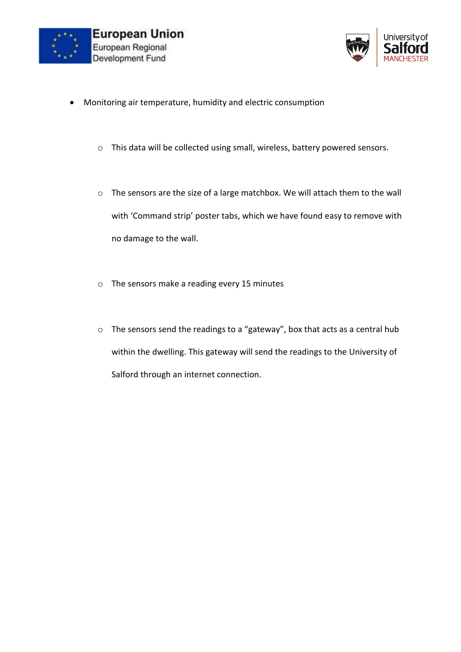



- Monitoring air temperature, humidity and electric consumption
	- o This data will be collected using small, wireless, battery powered sensors.
	- o The sensors are the size of a large matchbox. We will attach them to the wall with 'Command strip' poster tabs, which we have found easy to remove with no damage to the wall.
	- o The sensors make a reading every 15 minutes
	- o The sensors send the readings to a "gateway", box that acts as a central hub within the dwelling. This gateway will send the readings to the University of Salford through an internet connection.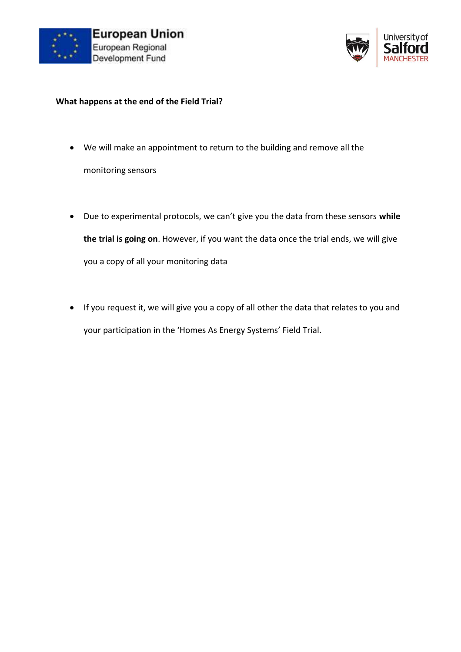



#### **What happens at the end of the Field Trial?**

- We will make an appointment to return to the building and remove all the monitoring sensors
- Due to experimental protocols, we can't give you the data from these sensors **while the trial is going on**. However, if you want the data once the trial ends, we will give you a copy of all your monitoring data
- If you request it, we will give you a copy of all other the data that relates to you and your participation in the 'Homes As Energy Systems' Field Trial.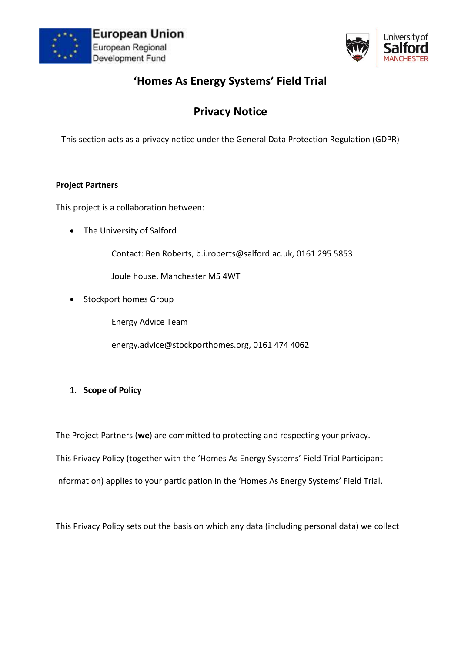



# **'Homes As Energy Systems' Field Trial**

# **Privacy Notice**

This section acts as a privacy notice under the General Data Protection Regulation (GDPR)

### **Project Partners**

This project is a collaboration between:

• The University of Salford

Contact: Ben Roberts, b.i.roberts@salford.ac.uk, 0161 295 5853

Joule house, Manchester M5 4WT

• Stockport homes Group

Energy Advice Team

energy.advice@stockporthomes.org, 0161 474 4062

1. **Scope of Policy**

The Project Partners (**we**) are committed to protecting and respecting your privacy. This Privacy Policy (together with the 'Homes As Energy Systems' Field Trial Participant Information) applies to your participation in the 'Homes As Energy Systems' Field Trial.

This Privacy Policy sets out the basis on which any data (including personal data) we collect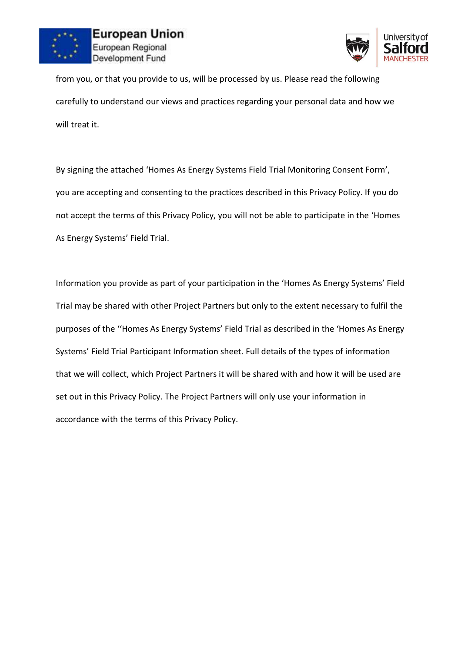



from you, or that you provide to us, will be processed by us. Please read the following carefully to understand our views and practices regarding your personal data and how we will treat it.

By signing the attached 'Homes As Energy Systems Field Trial Monitoring Consent Form', you are accepting and consenting to the practices described in this Privacy Policy. If you do not accept the terms of this Privacy Policy, you will not be able to participate in the 'Homes As Energy Systems' Field Trial.

Information you provide as part of your participation in the 'Homes As Energy Systems' Field Trial may be shared with other Project Partners but only to the extent necessary to fulfil the purposes of the ''Homes As Energy Systems' Field Trial as described in the 'Homes As Energy Systems' Field Trial Participant Information sheet. Full details of the types of information that we will collect, which Project Partners it will be shared with and how it will be used are set out in this Privacy Policy. The Project Partners will only use your information in accordance with the terms of this Privacy Policy.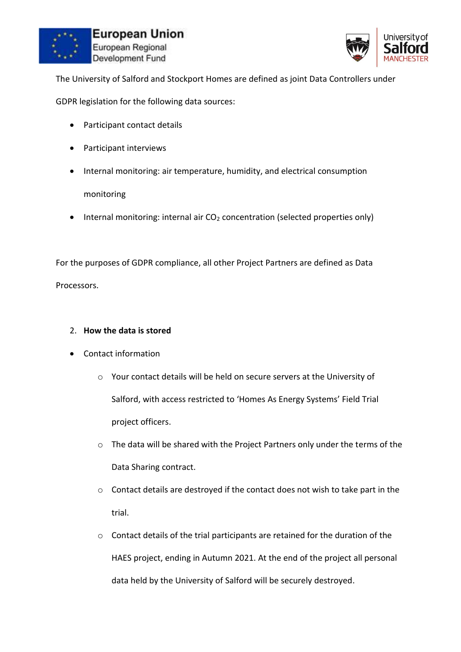



The University of Salford and Stockport Homes are defined as joint Data Controllers under

GDPR legislation for the following data sources:

- Participant contact details
- Participant interviews
- Internal monitoring: air temperature, humidity, and electrical consumption

## monitoring

• Internal monitoring: internal air  $CO<sub>2</sub>$  concentration (selected properties only)

For the purposes of GDPR compliance, all other Project Partners are defined as Data Processors.

#### 2. **How the data is stored**

- Contact information
	- o Your contact details will be held on secure servers at the University of Salford, with access restricted to 'Homes As Energy Systems' Field Trial project officers.
	- o The data will be shared with the Project Partners only under the terms of the Data Sharing contract.
	- o Contact details are destroyed if the contact does not wish to take part in the trial.
	- o Contact details of the trial participants are retained for the duration of the HAES project, ending in Autumn 2021. At the end of the project all personal data held by the University of Salford will be securely destroyed.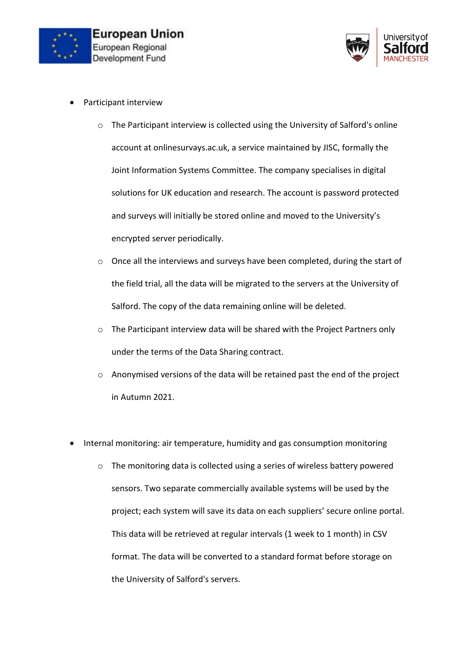



- Participant interview
	- o The Participant interview is collected using the University of Salford's online account at onlinesurvays.ac.uk, a service maintained by JISC, formally the Joint Information Systems Committee. The company specialises in digital solutions for UK education and research. The account is password protected and surveys will initially be stored online and moved to the University's encrypted server periodically.
	- o Once all the interviews and surveys have been completed, during the start of the field trial, all the data will be migrated to the servers at the University of Salford. The copy of the data remaining online will be deleted.
	- o The Participant interview data will be shared with the Project Partners only under the terms of the Data Sharing contract.
	- o Anonymised versions of the data will be retained past the end of the project in Autumn 2021.
- Internal monitoring: air temperature, humidity and gas consumption monitoring
	- o The monitoring data is collected using a series of wireless battery powered sensors. Two separate commercially available systems will be used by the project; each system will save its data on each suppliers' secure online portal. This data will be retrieved at regular intervals (1 week to 1 month) in CSV format. The data will be converted to a standard format before storage on the University of Salford's servers.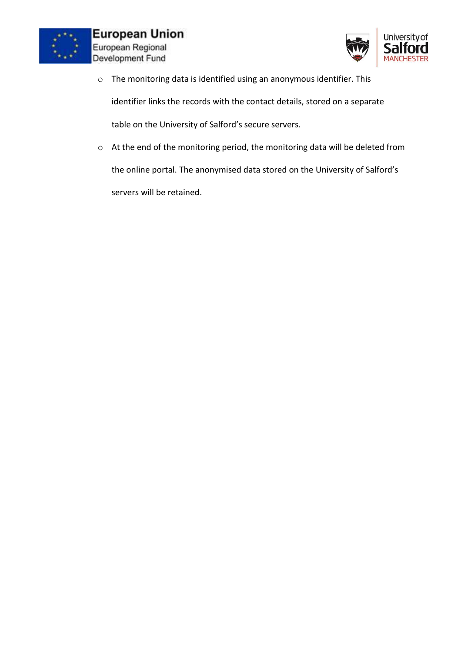



o The monitoring data is identified using an anonymous identifier. This

identifier links the records with the contact details, stored on a separate

table on the University of Salford's secure servers.

o At the end of the monitoring period, the monitoring data will be deleted from the online portal. The anonymised data stored on the University of Salford's servers will be retained.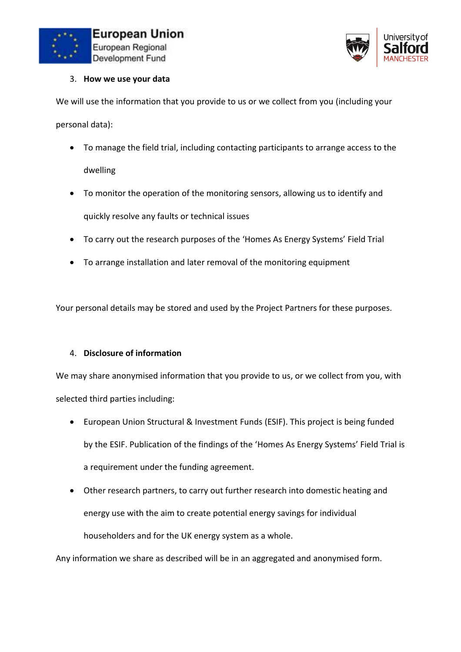



#### 3. **How we use your data**

We will use the information that you provide to us or we collect from you (including your personal data):

- To manage the field trial, including contacting participants to arrange access to the dwelling
- To monitor the operation of the monitoring sensors, allowing us to identify and quickly resolve any faults or technical issues
- To carry out the research purposes of the 'Homes As Energy Systems' Field Trial
- To arrange installation and later removal of the monitoring equipment

Your personal details may be stored and used by the Project Partners for these purposes.

## 4. **Disclosure of information**

We may share anonymised information that you provide to us, or we collect from you, with selected third parties including:

- European Union Structural & Investment Funds (ESIF). This project is being funded by the ESIF. Publication of the findings of the 'Homes As Energy Systems' Field Trial is a requirement under the funding agreement.
- Other research partners, to carry out further research into domestic heating and energy use with the aim to create potential energy savings for individual householders and for the UK energy system as a whole.

Any information we share as described will be in an aggregated and anonymised form.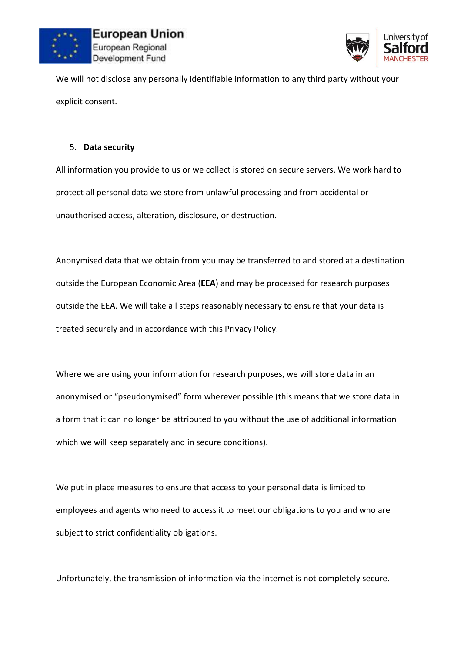



We will not disclose any personally identifiable information to any third party without your explicit consent.

### 5. **Data security**

All information you provide to us or we collect is stored on secure servers. We work hard to protect all personal data we store from unlawful processing and from accidental or unauthorised access, alteration, disclosure, or destruction.

Anonymised data that we obtain from you may be transferred to and stored at a destination outside the European Economic Area (**EEA**) and may be processed for research purposes outside the EEA. We will take all steps reasonably necessary to ensure that your data is treated securely and in accordance with this Privacy Policy.

Where we are using your information for research purposes, we will store data in an anonymised or "pseudonymised" form wherever possible (this means that we store data in a form that it can no longer be attributed to you without the use of additional information which we will keep separately and in secure conditions).

We put in place measures to ensure that access to your personal data is limited to employees and agents who need to access it to meet our obligations to you and who are subject to strict confidentiality obligations.

Unfortunately, the transmission of information via the internet is not completely secure.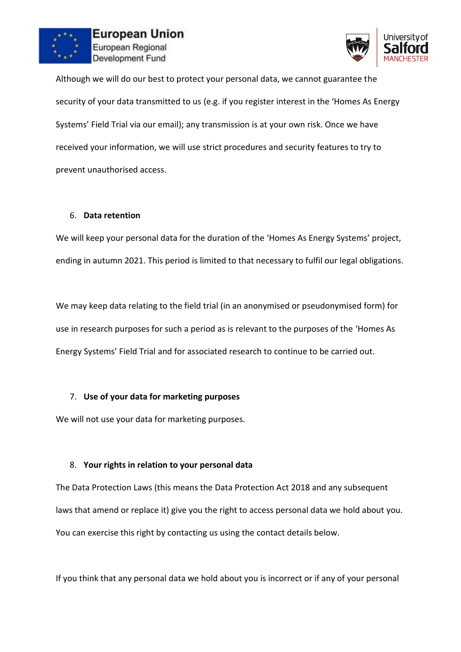



Although we will do our best to protect your personal data, we cannot guarantee the security of your data transmitted to us (e.g. if you register interest in the 'Homes As Energy Systems' Field Trial via our email); any transmission is at your own risk. Once we have received your information, we will use strict procedures and security features to try to prevent unauthorised access.

#### 6. **Data retention**

We will keep your personal data for the duration of the 'Homes As Energy Systems' project, ending in autumn 2021. This period is limited to that necessary to fulfil our legal obligations.

We may keep data relating to the field trial (in an anonymised or pseudonymised form) for use in research purposes for such a period as is relevant to the purposes of the 'Homes As Energy Systems' Field Trial and for associated research to continue to be carried out.

## 7. **Use of your data for marketing purposes**

We will not use your data for marketing purposes.

## 8. **Your rights in relation to your personal data**

The Data Protection Laws (this means the Data Protection Act 2018 and any subsequent laws that amend or replace it) give you the right to access personal data we hold about you. You can exercise this right by contacting us using the contact details below.

If you think that any personal data we hold about you is incorrect or if any of your personal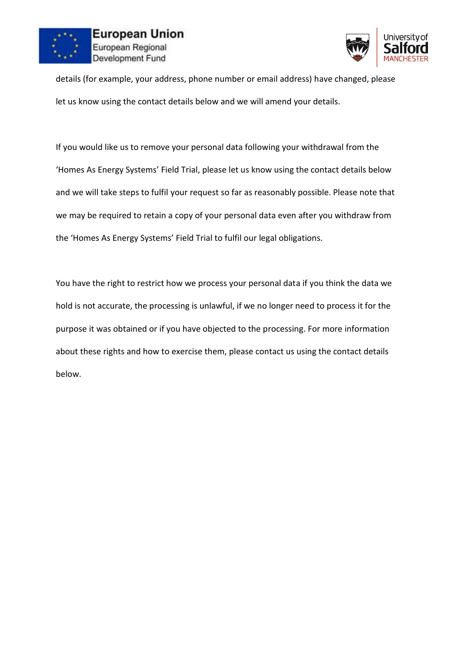



details (for example, your address, phone number or email address) have changed, please let us know using the contact details below and we will amend your details.

If you would like us to remove your personal data following your withdrawal from the 'Homes As Energy Systems' Field Trial, please let us know using the contact details below and we will take steps to fulfil your request so far as reasonably possible. Please note that we may be required to retain a copy of your personal data even after you withdraw from the 'Homes As Energy Systems' Field Trial to fulfil our legal obligations.

You have the right to restrict how we process your personal data if you think the data we hold is not accurate, the processing is unlawful, if we no longer need to process it for the purpose it was obtained or if you have objected to the processing. For more information about these rights and how to exercise them, please contact us using the contact details below.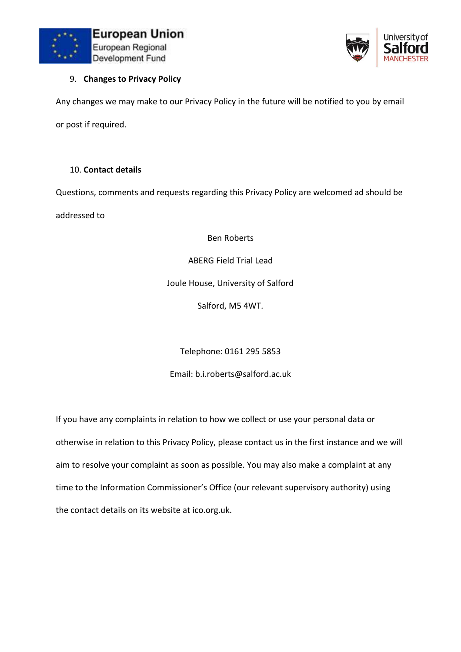



### 9. **Changes to Privacy Policy**

Any changes we may make to our Privacy Policy in the future will be notified to you by email or post if required.

#### 10. **Contact details**

Questions, comments and requests regarding this Privacy Policy are welcomed ad should be

addressed to

Ben Roberts

ABERG Field Trial Lead

Joule House, University of Salford

Salford, M5 4WT.

Telephone: 0161 295 5853

Email: b.i.roberts@salford.ac.uk

If you have any complaints in relation to how we collect or use your personal data or otherwise in relation to this Privacy Policy, please contact us in the first instance and we will aim to resolve your complaint as soon as possible. You may also make a complaint at any time to the Information Commissioner's Office (our relevant supervisory authority) using the contact details on its website at ico.org.uk.